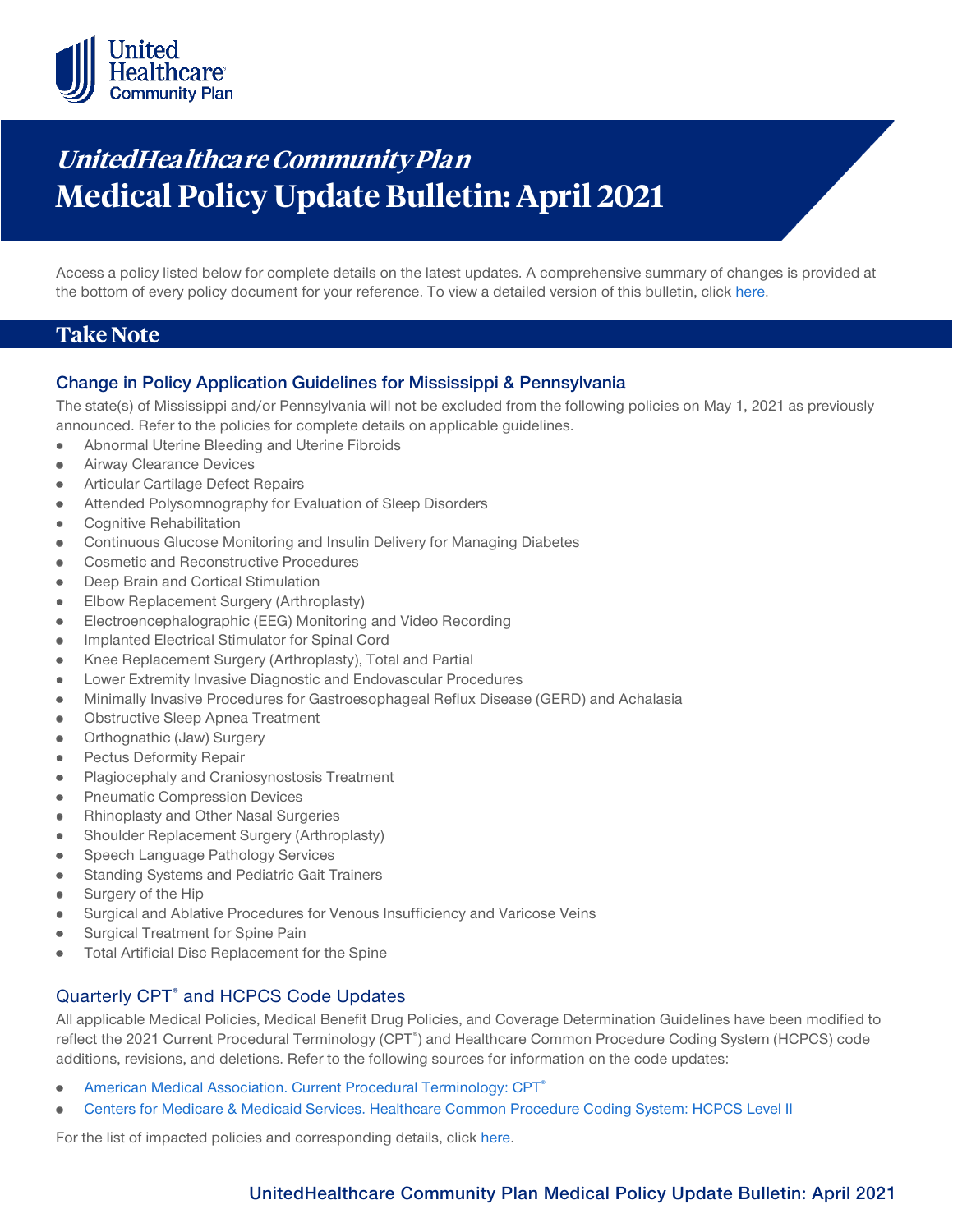

# **UnitedHealthcare Community Plan Medical Policy Update Bulletin: April 2021**

Access a policy listed below for complete details on the latest updates. A comprehensive summary of changes is provided at the bottom of every policy document for your reference. To view a detailed version of this bulletin, clic[k here.](https://www.uhcprovider.com/content/dam/provider/docs/public/policies/mpub-archives/comm-plan/community-plan-medical-policy-update-bulletin-april-2021-full.pdf)

### **Take Note**

### **Change in Policy Application Guidelines for Mississippi & Pennsylvania**

The state(s) of Mississippi and/or Pennsylvania will not be excluded from the following policies on May 1, 2021 as previously announced. Refer to the policies for complete details on applicable guidelines.

- Abnormal Uterine Bleeding and Uterine Fibroids  $\bullet$
- Airway Clearance Devices  $\bullet$
- Articular Cartilage Defect Repairs
- Attended Polysomnography for Evaluation of Sleep Disorders ٠
- Cognitive Rehabilitation
- Continuous Glucose Monitoring and Insulin Delivery for Managing Diabetes  $\bullet$
- Cosmetic and Reconstructive Procedures
- Deep Brain and Cortical Stimulation  $\bullet$
- Elbow Replacement Surgery (Arthroplasty)  $\bullet$
- Electroencephalographic (EEG) Monitoring and Video Recording  $\bullet$
- Implanted Electrical Stimulator for Spinal Cord
- Knee Replacement Surgery (Arthroplasty), Total and Partial ٠
- Lower Extremity Invasive Diagnostic and Endovascular Procedures  $\bullet$
- Minimally Invasive Procedures for Gastroesophageal Reflux Disease (GERD) and Achalasia  $\bullet$
- Obstructive Sleep Apnea Treatment
- Orthognathic (Jaw) Surgery
- $\bullet$ Pectus Deformity Repair
- Plagiocephaly and Craniosynostosis Treatment  $\bullet$
- Pneumatic Compression Devices
- Rhinoplasty and Other Nasal Surgeries  $\bullet$
- Shoulder Replacement Surgery (Arthroplasty)  $\bullet$
- Speech Language Pathology Services
- Standing Systems and Pediatric Gait Trainers
- $\bullet$ Surgery of the Hip
- Surgical and Ablative Procedures for Venous Insufficiency and Varicose Veins  $\bullet$
- Surgical Treatment for Spine Pain  $\qquad \qquad \bullet$
- Total Artificial Disc Replacement for the Spine

### Quarterly CPT® and HCPCS Code Updates

All applicable Medical Policies, Medical Benefit Drug Policies, and Coverage Determination Guidelines have been modified to reflect the 2021 Current Procedural Terminology (CPT<sup>®</sup>) and Healthcare Common Procedure Coding System (HCPCS) code additions, revisions, and deletions. Refer to the following sources for information on the code updates:

- [American Medical Association. Current Procedural Terminology: CPT®](https://www.ama-assn.org/practice-management/cpt)
- [Centers for Medicare & Medicaid Services. Healthcare Common Procedure Coding System: HCPCS Level II](https://www.cms.gov/Medicare/Coding/MedHCPCSGenInfo/index.html)  $\bullet$

For the list of impacted policies and corresponding details, click [here.](https://www.uhcprovider.com/content/dam/provider/docs/public/policies/mpub-archives/comm-plan/community-plan-medical-policy-update-bulletin-april-2021-full.pdf)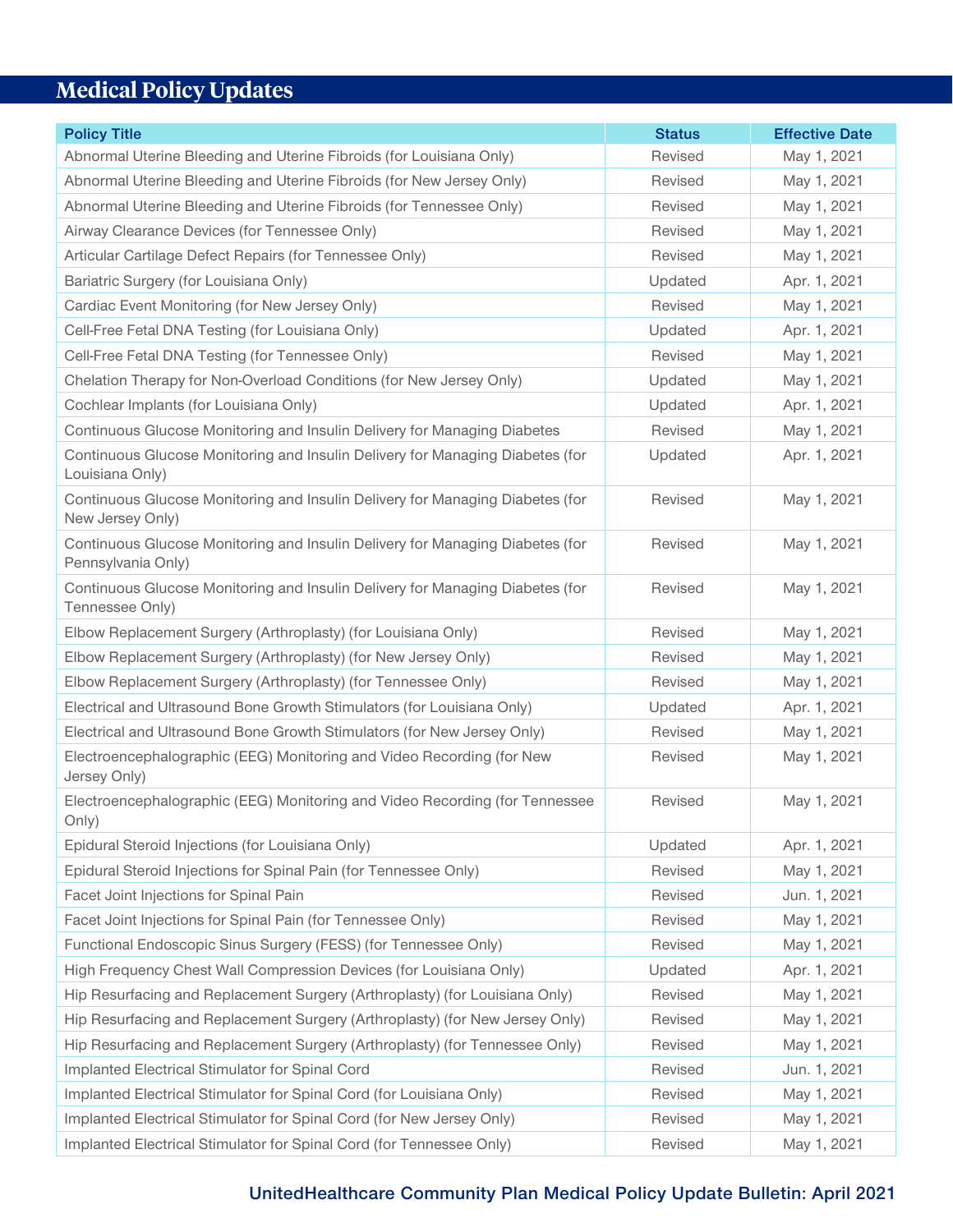## **Medical Policy Updates**

| <b>Policy Title</b>                                                                                 | <b>Status</b> | <b>Effective Date</b> |
|-----------------------------------------------------------------------------------------------------|---------------|-----------------------|
| Abnormal Uterine Bleeding and Uterine Fibroids (for Louisiana Only)                                 | Revised       | May 1, 2021           |
| Abnormal Uterine Bleeding and Uterine Fibroids (for New Jersey Only)                                | Revised       | May 1, 2021           |
| Abnormal Uterine Bleeding and Uterine Fibroids (for Tennessee Only)                                 | Revised       | May 1, 2021           |
| Airway Clearance Devices (for Tennessee Only)                                                       | Revised       | May 1, 2021           |
| Articular Cartilage Defect Repairs (for Tennessee Only)                                             | Revised       | May 1, 2021           |
| Bariatric Surgery (for Louisiana Only)                                                              | Updated       | Apr. 1, 2021          |
| Cardiac Event Monitoring (for New Jersey Only)                                                      | Revised       | May 1, 2021           |
| Cell-Free Fetal DNA Testing (for Louisiana Only)                                                    | Updated       | Apr. 1, 2021          |
| Cell-Free Fetal DNA Testing (for Tennessee Only)                                                    | Revised       | May 1, 2021           |
| Chelation Therapy for Non-Overload Conditions (for New Jersey Only)                                 | Updated       | May 1, 2021           |
| Cochlear Implants (for Louisiana Only)                                                              | Updated       | Apr. 1, 2021          |
| Continuous Glucose Monitoring and Insulin Delivery for Managing Diabetes                            | Revised       | May 1, 2021           |
| Continuous Glucose Monitoring and Insulin Delivery for Managing Diabetes (for<br>Louisiana Only)    | Updated       | Apr. 1, 2021          |
| Continuous Glucose Monitoring and Insulin Delivery for Managing Diabetes (for<br>New Jersey Only)   | Revised       | May 1, 2021           |
| Continuous Glucose Monitoring and Insulin Delivery for Managing Diabetes (for<br>Pennsylvania Only) | Revised       | May 1, 2021           |
| Continuous Glucose Monitoring and Insulin Delivery for Managing Diabetes (for<br>Tennessee Only)    | Revised       | May 1, 2021           |
| Elbow Replacement Surgery (Arthroplasty) (for Louisiana Only)                                       | Revised       | May 1, 2021           |
| Elbow Replacement Surgery (Arthroplasty) (for New Jersey Only)                                      | Revised       | May 1, 2021           |
| Elbow Replacement Surgery (Arthroplasty) (for Tennessee Only)                                       | Revised       | May 1, 2021           |
| Electrical and Ultrasound Bone Growth Stimulators (for Louisiana Only)                              | Updated       | Apr. 1, 2021          |
| Electrical and Ultrasound Bone Growth Stimulators (for New Jersey Only)                             | Revised       | May 1, 2021           |
| Electroencephalographic (EEG) Monitoring and Video Recording (for New<br>Jersey Only)               | Revised       | May 1, 2021           |
| Electroencephalographic (EEG) Monitoring and Video Recording (for Tennessee<br>Only)                | Revised       | May 1, 2021           |
| Epidural Steroid Injections (for Louisiana Only)                                                    | Updated       | Apr. 1, 2021          |
| Epidural Steroid Injections for Spinal Pain (for Tennessee Only)                                    | Revised       | May 1, 2021           |
| Facet Joint Injections for Spinal Pain                                                              | Revised       | Jun. 1, 2021          |
| Facet Joint Injections for Spinal Pain (for Tennessee Only)                                         | Revised       | May 1, 2021           |
| Functional Endoscopic Sinus Surgery (FESS) (for Tennessee Only)                                     | Revised       | May 1, 2021           |
| High Frequency Chest Wall Compression Devices (for Louisiana Only)                                  | Updated       | Apr. 1, 2021          |
| Hip Resurfacing and Replacement Surgery (Arthroplasty) (for Louisiana Only)                         | Revised       | May 1, 2021           |
| Hip Resurfacing and Replacement Surgery (Arthroplasty) (for New Jersey Only)                        | Revised       | May 1, 2021           |
| Hip Resurfacing and Replacement Surgery (Arthroplasty) (for Tennessee Only)                         | Revised       | May 1, 2021           |
| Implanted Electrical Stimulator for Spinal Cord                                                     | Revised       | Jun. 1, 2021          |
| Implanted Electrical Stimulator for Spinal Cord (for Louisiana Only)                                | Revised       | May 1, 2021           |
| Implanted Electrical Stimulator for Spinal Cord (for New Jersey Only)                               | Revised       | May 1, 2021           |
| Implanted Electrical Stimulator for Spinal Cord (for Tennessee Only)                                | Revised       | May 1, 2021           |

### **UnitedHealthcare Community Plan Medical Policy Update Bulletin: April 2021**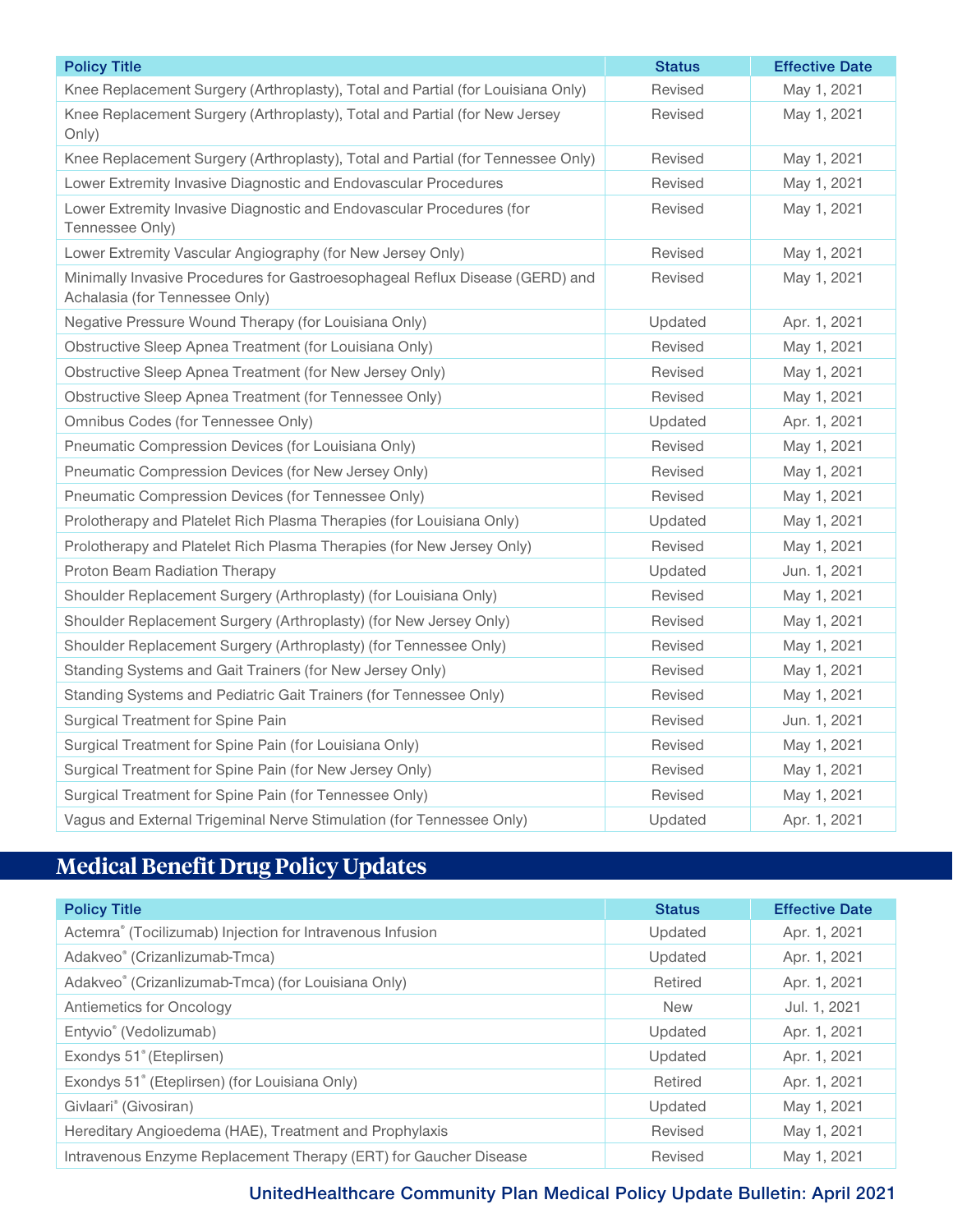| <b>Policy Title</b>                                                                                            | <b>Status</b> | <b>Effective Date</b> |
|----------------------------------------------------------------------------------------------------------------|---------------|-----------------------|
| Knee Replacement Surgery (Arthroplasty), Total and Partial (for Louisiana Only)                                | Revised       | May 1, 2021           |
| Knee Replacement Surgery (Arthroplasty), Total and Partial (for New Jersey<br>Only)                            | Revised       | May 1, 2021           |
| Knee Replacement Surgery (Arthroplasty), Total and Partial (for Tennessee Only)                                | Revised       | May 1, 2021           |
| Lower Extremity Invasive Diagnostic and Endovascular Procedures                                                | Revised       | May 1, 2021           |
| Lower Extremity Invasive Diagnostic and Endovascular Procedures (for<br>Tennessee Only)                        | Revised       | May 1, 2021           |
| Lower Extremity Vascular Angiography (for New Jersey Only)                                                     | Revised       | May 1, 2021           |
| Minimally Invasive Procedures for Gastroesophageal Reflux Disease (GERD) and<br>Achalasia (for Tennessee Only) | Revised       | May 1, 2021           |
| Negative Pressure Wound Therapy (for Louisiana Only)                                                           | Updated       | Apr. 1, 2021          |
| Obstructive Sleep Apnea Treatment (for Louisiana Only)                                                         | Revised       | May 1, 2021           |
| Obstructive Sleep Apnea Treatment (for New Jersey Only)                                                        | Revised       | May 1, 2021           |
| Obstructive Sleep Apnea Treatment (for Tennessee Only)                                                         | Revised       | May 1, 2021           |
| Omnibus Codes (for Tennessee Only)                                                                             | Updated       | Apr. 1, 2021          |
| Pneumatic Compression Devices (for Louisiana Only)                                                             | Revised       | May 1, 2021           |
| Pneumatic Compression Devices (for New Jersey Only)                                                            | Revised       | May 1, 2021           |
| Pneumatic Compression Devices (for Tennessee Only)                                                             | Revised       | May 1, 2021           |
| Prolotherapy and Platelet Rich Plasma Therapies (for Louisiana Only)                                           | Updated       | May 1, 2021           |
| Prolotherapy and Platelet Rich Plasma Therapies (for New Jersey Only)                                          | Revised       | May 1, 2021           |
| Proton Beam Radiation Therapy                                                                                  | Updated       | Jun. 1, 2021          |
| Shoulder Replacement Surgery (Arthroplasty) (for Louisiana Only)                                               | Revised       | May 1, 2021           |
| Shoulder Replacement Surgery (Arthroplasty) (for New Jersey Only)                                              | Revised       | May 1, 2021           |
| Shoulder Replacement Surgery (Arthroplasty) (for Tennessee Only)                                               | Revised       | May 1, 2021           |
| Standing Systems and Gait Trainers (for New Jersey Only)                                                       | Revised       | May 1, 2021           |
| Standing Systems and Pediatric Gait Trainers (for Tennessee Only)                                              | Revised       | May 1, 2021           |
| Surgical Treatment for Spine Pain                                                                              | Revised       | Jun. 1, 2021          |
| Surgical Treatment for Spine Pain (for Louisiana Only)                                                         | Revised       | May 1, 2021           |
| Surgical Treatment for Spine Pain (for New Jersey Only)                                                        | Revised       | May 1, 2021           |
| Surgical Treatment for Spine Pain (for Tennessee Only)                                                         | Revised       | May 1, 2021           |
| Vagus and External Trigeminal Nerve Stimulation (for Tennessee Only)                                           | Updated       | Apr. 1, 2021          |

# **Medical Benefit Drug Policy Updates**

| <b>Policy Title</b>                                              | <b>Status</b> | <b>Effective Date</b> |
|------------------------------------------------------------------|---------------|-----------------------|
| Actemra® (Tocilizumab) Injection for Intravenous Infusion        | Updated       | Apr. 1, 2021          |
| Adakveo® (Crizanlizumab-Tmca)                                    | Updated       | Apr. 1, 2021          |
| Adakveo® (Crizanlizumab-Tmca) (for Louisiana Only)               | Retired       | Apr. 1, 2021          |
| Antiemetics for Oncology                                         | <b>New</b>    | Jul. 1, 2021          |
| Entyvio <sup>®</sup> (Vedolizumab)                               | Updated       | Apr. 1, 2021          |
| Exondys 51° (Eteplirsen)                                         | Updated       | Apr. 1, 2021          |
| Exondys 51° (Eteplirsen) (for Louisiana Only)                    | Retired       | Apr. 1, 2021          |
| Givlaari® (Givosiran)                                            | Updated       | May 1, 2021           |
| Hereditary Angioedema (HAE), Treatment and Prophylaxis           | Revised       | May 1, 2021           |
| Intravenous Enzyme Replacement Therapy (ERT) for Gaucher Disease | Revised       | May 1, 2021           |

**UnitedHealthcare Community Plan Medical Policy Update Bulletin: April 2021**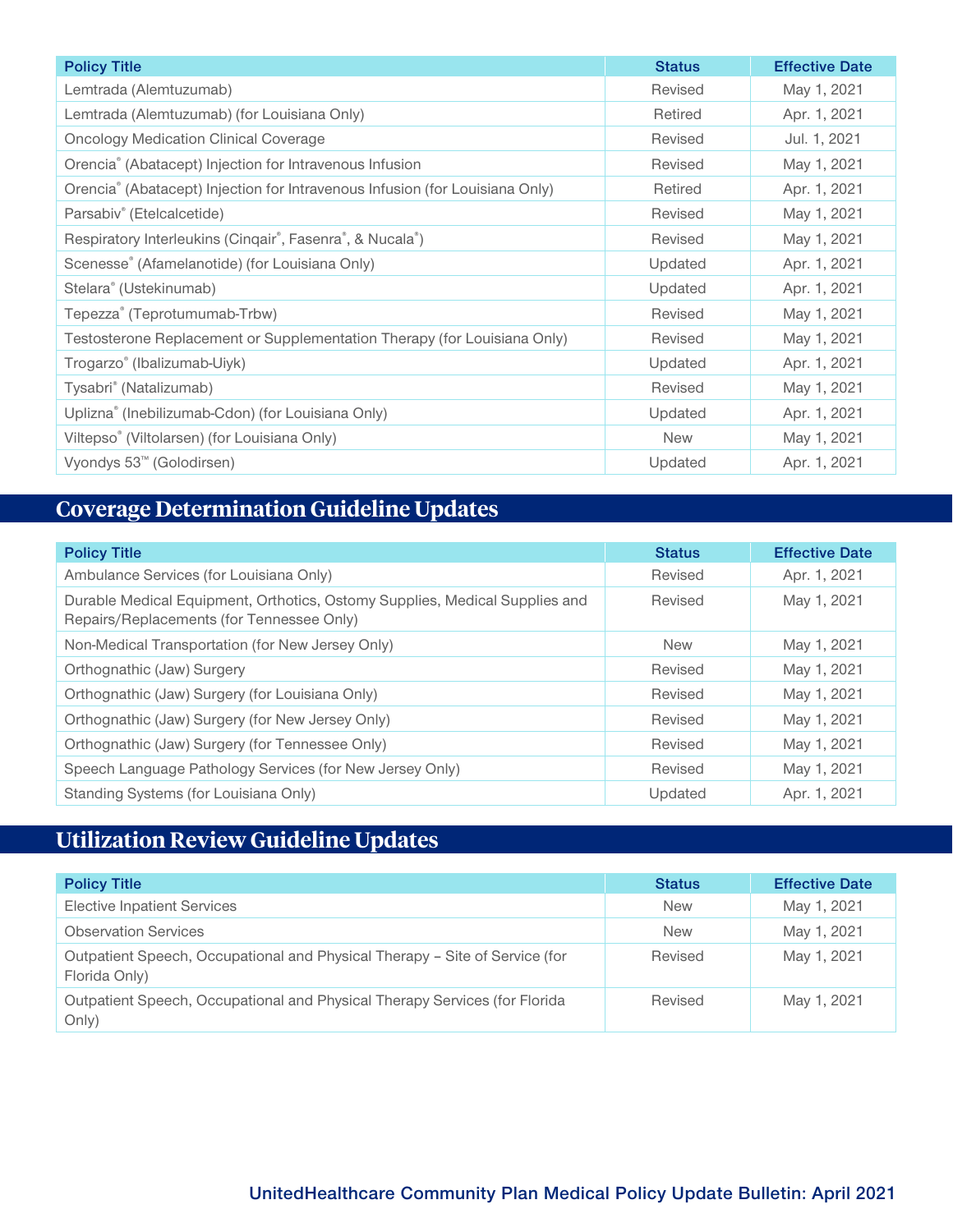| <b>Policy Title</b>                                                          | <b>Status</b> | <b>Effective Date</b> |
|------------------------------------------------------------------------------|---------------|-----------------------|
| Lemtrada (Alemtuzumab)                                                       | Revised       | May 1, 2021           |
| Lemtrada (Alemtuzumab) (for Louisiana Only)                                  | Retired       | Apr. 1, 2021          |
| <b>Oncology Medication Clinical Coverage</b>                                 | Revised       | Jul. 1, 2021          |
| Orencia® (Abatacept) Injection for Intravenous Infusion                      | Revised       | May 1, 2021           |
| Orencia® (Abatacept) Injection for Intravenous Infusion (for Louisiana Only) | Retired       | Apr. 1, 2021          |
| Parsabiv <sup>®</sup> (Etelcalcetide)                                        | Revised       | May 1, 2021           |
| Respiratory Interleukins (Cinqair®, Fasenra®, & Nucala®)                     | Revised       | May 1, 2021           |
| Scenesse® (Afamelanotide) (for Louisiana Only)                               | Updated       | Apr. 1, 2021          |
| Stelara <sup>®</sup> (Ustekinumab)                                           | Updated       | Apr. 1, 2021          |
| Tepezza® (Teprotumumab-Trbw)                                                 | Revised       | May 1, 2021           |
| Testosterone Replacement or Supplementation Therapy (for Louisiana Only)     | Revised       | May 1, 2021           |
| Trogarzo <sup>®</sup> (Ibalizumab-Uiyk)                                      | Updated       | Apr. 1, 2021          |
| Tysabri <sup>®</sup> (Natalizumab)                                           | Revised       | May 1, 2021           |
| Uplizna® (Inebilizumab-Cdon) (for Louisiana Only)                            | Updated       | Apr. 1, 2021          |
| Viltepso® (Viltolarsen) (for Louisiana Only)                                 | <b>New</b>    | May 1, 2021           |
| Vyondys 53 <sup>™</sup> (Golodirsen)                                         | Updated       | Apr. 1, 2021          |

### **Coverage Determination Guideline Updates**

| <b>Policy Title</b>                                                                                                      | <b>Status</b> | <b>Effective Date</b> |
|--------------------------------------------------------------------------------------------------------------------------|---------------|-----------------------|
| Ambulance Services (for Louisiana Only)                                                                                  | Revised       | Apr. 1, 2021          |
| Durable Medical Equipment, Orthotics, Ostomy Supplies, Medical Supplies and<br>Repairs/Replacements (for Tennessee Only) | Revised       | May 1, 2021           |
| Non-Medical Transportation (for New Jersey Only)                                                                         | <b>New</b>    | May 1, 2021           |
| Orthognathic (Jaw) Surgery                                                                                               | Revised       | May 1, 2021           |
| Orthognathic (Jaw) Surgery (for Louisiana Only)                                                                          | Revised       | May 1, 2021           |
| Orthognathic (Jaw) Surgery (for New Jersey Only)                                                                         | Revised       | May 1, 2021           |
| Orthognathic (Jaw) Surgery (for Tennessee Only)                                                                          | Revised       | May 1, 2021           |
| Speech Language Pathology Services (for New Jersey Only)                                                                 | Revised       | May 1, 2021           |
| Standing Systems (for Louisiana Only)                                                                                    | Updated       | Apr. 1, 2021          |

## **Utilization Review Guideline Updates**

| <b>Policy Title</b>                                                                          | <b>Status</b> | <b>Effective Date</b> |
|----------------------------------------------------------------------------------------------|---------------|-----------------------|
| <b>Elective Inpatient Services</b>                                                           | <b>New</b>    | May 1, 2021           |
| <b>Observation Services</b>                                                                  | <b>New</b>    | May 1, 2021           |
| Outpatient Speech, Occupational and Physical Therapy – Site of Service (for<br>Florida Only) | Revised       | May 1, 2021           |
| Outpatient Speech, Occupational and Physical Therapy Services (for Florida<br>Only)          | Revised       | May 1, 2021           |